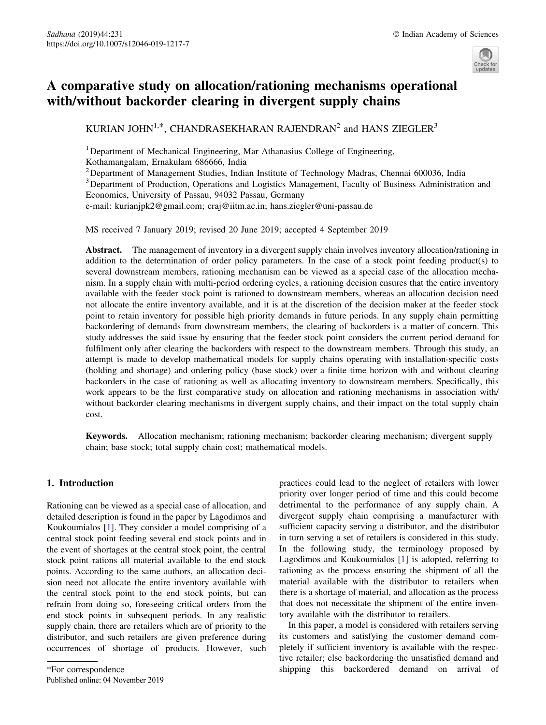

# A comparative study on allocation/rationing mechanisms operational with/without backorder clearing in divergent supply chains

KURIAN JOHN<sup>1,\*</sup>, CHANDRASEKHARAN RAJENDRAN<sup>2</sup> and HANS ZIEGLER<sup>3</sup>

<sup>1</sup>Department of Mechanical Engineering, Mar Athanasius College of Engineering,

Kothamangalam, Ernakulam 686666, India

<sup>2</sup> Department of Management Studies, Indian Institute of Technology Madras, Chennai 600036, India

<sup>3</sup> Department of Production, Operations and Logistics Management, Faculty of Business Administration and Economics, University of Passau, 94032 Passau, Germany

e-mail: kurianjpk2@gmail.com; craj@iitm.ac.in; hans.ziegler@uni-passau.de

MS received 7 January 2019; revised 20 June 2019; accepted 4 September 2019

Abstract. The management of inventory in a divergent supply chain involves inventory allocation/rationing in addition to the determination of order policy parameters. In the case of a stock point feeding product(s) to several downstream members, rationing mechanism can be viewed as a special case of the allocation mechanism. In a supply chain with multi-period ordering cycles, a rationing decision ensures that the entire inventory available with the feeder stock point is rationed to downstream members, whereas an allocation decision need not allocate the entire inventory available, and it is at the discretion of the decision maker at the feeder stock point to retain inventory for possible high priority demands in future periods. In any supply chain permitting backordering of demands from downstream members, the clearing of backorders is a matter of concern. This study addresses the said issue by ensuring that the feeder stock point considers the current period demand for fulfilment only after clearing the backorders with respect to the downstream members. Through this study, an attempt is made to develop mathematical models for supply chains operating with installation-specific costs (holding and shortage) and ordering policy (base stock) over a finite time horizon with and without clearing backorders in the case of rationing as well as allocating inventory to downstream members. Specifically, this work appears to be the first comparative study on allocation and rationing mechanisms in association with/ without backorder clearing mechanisms in divergent supply chains, and their impact on the total supply chain cost.

Keywords. Allocation mechanism; rationing mechanism; backorder clearing mechanism; divergent supply chain; base stock; total supply chain cost; mathematical models.

# 1. Introduction

Rationing can be viewed as a special case of allocation, and detailed description is found in the paper by Lagodimos and Koukoumialos [1]. They consider a model comprising of a central stock point feeding several end stock points and in the event of shortages at the central stock point, the central stock point rations all material available to the end stock points. According to the same authors, an allocation decision need not allocate the entire inventory available with the central stock point to the end stock points, but can refrain from doing so, foreseeing critical orders from the end stock points in subsequent periods. In any realistic supply chain, there are retailers which are of priority to the distributor, and such retailers are given preference during occurrences of shortage of products. However, such practices could lead to the neglect of retailers with lower priority over longer period of time and this could become detrimental to the performance of any supply chain. A divergent supply chain comprising a manufacturer with sufficient capacity serving a distributor, and the distributor in turn serving a set of retailers is considered in this study. In the following study, the terminology proposed by Lagodimos and Koukoumialos [1] is adopted, referring to rationing as the process ensuring the shipment of all the material available with the distributor to retailers when there is a shortage of material, and allocation as the process that does not necessitate the shipment of the entire inventory available with the distributor to retailers.

In this paper, a model is considered with retailers serving its customers and satisfying the customer demand completely if sufficient inventory is available with the respective retailer; else backordering the unsatisfied demand and \*For correspondence shipping this backordered demand on arrival of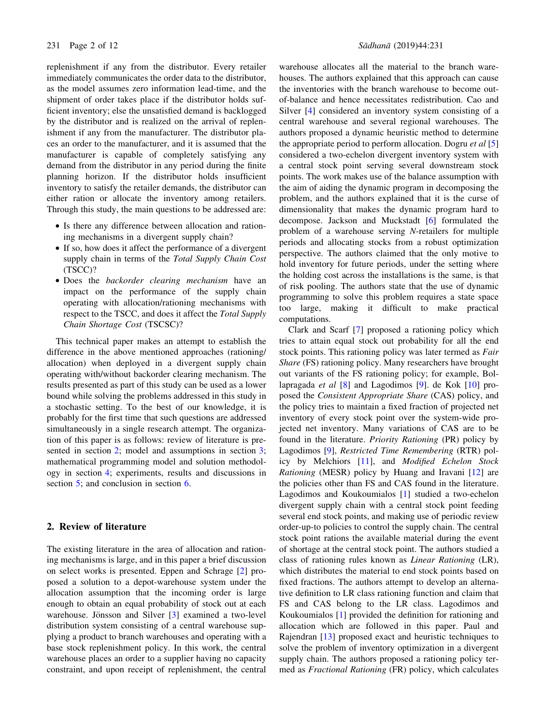replenishment if any from the distributor. Every retailer immediately communicates the order data to the distributor, as the model assumes zero information lead-time, and the shipment of order takes place if the distributor holds sufficient inventory; else the unsatisfied demand is backlogged by the distributor and is realized on the arrival of replenishment if any from the manufacturer. The distributor places an order to the manufacturer, and it is assumed that the manufacturer is capable of completely satisfying any demand from the distributor in any period during the finite planning horizon. If the distributor holds insufficient inventory to satisfy the retailer demands, the distributor can either ration or allocate the inventory among retailers. Through this study, the main questions to be addressed are:

- Is there any difference between allocation and rationing mechanisms in a divergent supply chain?
- If so, how does it affect the performance of a divergent supply chain in terms of the Total Supply Chain Cost (TSCC)?
- Does the backorder clearing mechanism have an impact on the performance of the supply chain operating with allocation/rationing mechanisms with respect to the TSCC, and does it affect the Total Supply Chain Shortage Cost (TSCSC)?

This technical paper makes an attempt to establish the difference in the above mentioned approaches (rationing/ allocation) when deployed in a divergent supply chain operating with/without backorder clearing mechanism. The results presented as part of this study can be used as a lower bound while solving the problems addressed in this study in a stochastic setting. To the best of our knowledge, it is probably for the first time that such questions are addressed simultaneously in a single research attempt. The organization of this paper is as follows: review of literature is presented in section 2; model and assumptions in section 3; mathematical programming model and solution methodology in section 4; experiments, results and discussions in section 5; and conclusion in section 6.

## 2. Review of literature

The existing literature in the area of allocation and rationing mechanisms is large, and in this paper a brief discussion on select works is presented. Eppen and Schrage [2] proposed a solution to a depot-warehouse system under the allocation assumption that the incoming order is large enough to obtain an equal probability of stock out at each warehouse. Jönsson and Silver [3] examined a two-level distribution system consisting of a central warehouse supplying a product to branch warehouses and operating with a base stock replenishment policy. In this work, the central warehouse places an order to a supplier having no capacity constraint, and upon receipt of replenishment, the central

warehouse allocates all the material to the branch warehouses. The authors explained that this approach can cause the inventories with the branch warehouse to become outof-balance and hence necessitates redistribution. Cao and Silver [4] considered an inventory system consisting of a central warehouse and several regional warehouses. The authors proposed a dynamic heuristic method to determine the appropriate period to perform allocation. Dogru et al  $[5]$ considered a two-echelon divergent inventory system with a central stock point serving several downstream stock points. The work makes use of the balance assumption with the aim of aiding the dynamic program in decomposing the problem, and the authors explained that it is the curse of dimensionality that makes the dynamic program hard to decompose. Jackson and Muckstadt [6] formulated the problem of a warehouse serving N-retailers for multiple periods and allocating stocks from a robust optimization perspective. The authors claimed that the only motive to hold inventory for future periods, under the setting where the holding cost across the installations is the same, is that of risk pooling. The authors state that the use of dynamic programming to solve this problem requires a state space too large, making it difficult to make practical computations.

Clark and Scarf [7] proposed a rationing policy which tries to attain equal stock out probability for all the end stock points. This rationing policy was later termed as *Fair* Share (FS) rationing policy. Many researchers have brought out variants of the FS rationing policy; for example, Bollapragada *et al* [8] and Lagodimos [9]. de Kok [10] proposed the Consistent Appropriate Share (CAS) policy, and the policy tries to maintain a fixed fraction of projected net inventory of every stock point over the system-wide projected net inventory. Many variations of CAS are to be found in the literature. Priority Rationing (PR) policy by Lagodimos [9], Restricted Time Remembering (RTR) policy by Melchiors [11], and Modified Echelon Stock Rationing (MESR) policy by Huang and Iravani [12] are the policies other than FS and CAS found in the literature. Lagodimos and Koukoumialos [1] studied a two-echelon divergent supply chain with a central stock point feeding several end stock points, and making use of periodic review order-up-to policies to control the supply chain. The central stock point rations the available material during the event of shortage at the central stock point. The authors studied a class of rationing rules known as Linear Rationing (LR), which distributes the material to end stock points based on fixed fractions. The authors attempt to develop an alternative definition to LR class rationing function and claim that FS and CAS belong to the LR class. Lagodimos and Koukoumialos [1] provided the definition for rationing and allocation which are followed in this paper. Paul and Rajendran [13] proposed exact and heuristic techniques to solve the problem of inventory optimization in a divergent supply chain. The authors proposed a rationing policy termed as Fractional Rationing (FR) policy, which calculates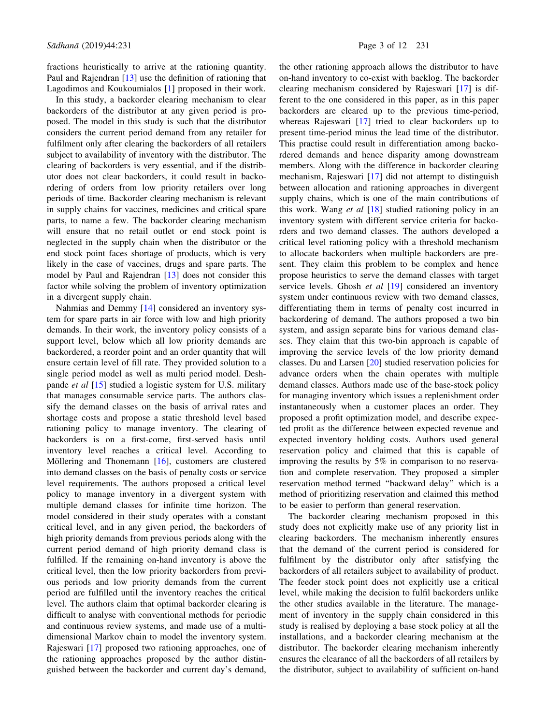fractions heuristically to arrive at the rationing quantity. Paul and Rajendran [13] use the definition of rationing that Lagodimos and Koukoumialos [1] proposed in their work.

In this study, a backorder clearing mechanism to clear backorders of the distributor at any given period is proposed. The model in this study is such that the distributor considers the current period demand from any retailer for fulfilment only after clearing the backorders of all retailers subject to availability of inventory with the distributor. The clearing of backorders is very essential, and if the distributor does not clear backorders, it could result in backordering of orders from low priority retailers over long periods of time. Backorder clearing mechanism is relevant in supply chains for vaccines, medicines and critical spare parts, to name a few. The backorder clearing mechanism will ensure that no retail outlet or end stock point is neglected in the supply chain when the distributor or the end stock point faces shortage of products, which is very likely in the case of vaccines, drugs and spare parts. The model by Paul and Rajendran [13] does not consider this factor while solving the problem of inventory optimization in a divergent supply chain.

Nahmias and Demmy [14] considered an inventory system for spare parts in air force with low and high priority demands. In their work, the inventory policy consists of a support level, below which all low priority demands are backordered, a reorder point and an order quantity that will ensure certain level of fill rate. They provided solution to a single period model as well as multi period model. Deshpande et al [15] studied a logistic system for U.S. military that manages consumable service parts. The authors classify the demand classes on the basis of arrival rates and shortage costs and propose a static threshold level based rationing policy to manage inventory. The clearing of backorders is on a first-come, first-served basis until inventory level reaches a critical level. According to Möllering and Thonemann  $[16]$ , customers are clustered into demand classes on the basis of penalty costs or service level requirements. The authors proposed a critical level policy to manage inventory in a divergent system with multiple demand classes for infinite time horizon. The model considered in their study operates with a constant critical level, and in any given period, the backorders of high priority demands from previous periods along with the current period demand of high priority demand class is fulfilled. If the remaining on-hand inventory is above the critical level, then the low priority backorders from previous periods and low priority demands from the current period are fulfilled until the inventory reaches the critical level. The authors claim that optimal backorder clearing is difficult to analyse with conventional methods for periodic and continuous review systems, and made use of a multidimensional Markov chain to model the inventory system. Rajeswari [17] proposed two rationing approaches, one of the rationing approaches proposed by the author distinguished between the backorder and current day's demand,

the other rationing approach allows the distributor to have on-hand inventory to co-exist with backlog. The backorder clearing mechanism considered by Rajeswari [17] is different to the one considered in this paper, as in this paper backorders are cleared up to the previous time-period, whereas Rajeswari [17] tried to clear backorders up to present time-period minus the lead time of the distributor. This practise could result in differentiation among backordered demands and hence disparity among downstream members. Along with the difference in backorder clearing mechanism, Rajeswari [17] did not attempt to distinguish between allocation and rationing approaches in divergent supply chains, which is one of the main contributions of this work. Wang et al  $[18]$  studied rationing policy in an inventory system with different service criteria for backorders and two demand classes. The authors developed a critical level rationing policy with a threshold mechanism to allocate backorders when multiple backorders are present. They claim this problem to be complex and hence propose heuristics to serve the demand classes with target service levels. Ghosh et al [19] considered an inventory system under continuous review with two demand classes, differentiating them in terms of penalty cost incurred in backordering of demand. The authors proposed a two bin system, and assign separate bins for various demand classes. They claim that this two-bin approach is capable of improving the service levels of the low priority demand classes. Du and Larsen [20] studied reservation policies for advance orders when the chain operates with multiple demand classes. Authors made use of the base-stock policy for managing inventory which issues a replenishment order instantaneously when a customer places an order. They proposed a profit optimization model, and describe expected profit as the difference between expected revenue and expected inventory holding costs. Authors used general reservation policy and claimed that this is capable of improving the results by 5% in comparison to no reservation and complete reservation. They proposed a simpler reservation method termed ''backward delay'' which is a method of prioritizing reservation and claimed this method to be easier to perform than general reservation.

The backorder clearing mechanism proposed in this study does not explicitly make use of any priority list in clearing backorders. The mechanism inherently ensures that the demand of the current period is considered for fulfilment by the distributor only after satisfying the backorders of all retailers subject to availability of product. The feeder stock point does not explicitly use a critical level, while making the decision to fulfil backorders unlike the other studies available in the literature. The management of inventory in the supply chain considered in this study is realised by deploying a base stock policy at all the installations, and a backorder clearing mechanism at the distributor. The backorder clearing mechanism inherently ensures the clearance of all the backorders of all retailers by the distributor, subject to availability of sufficient on-hand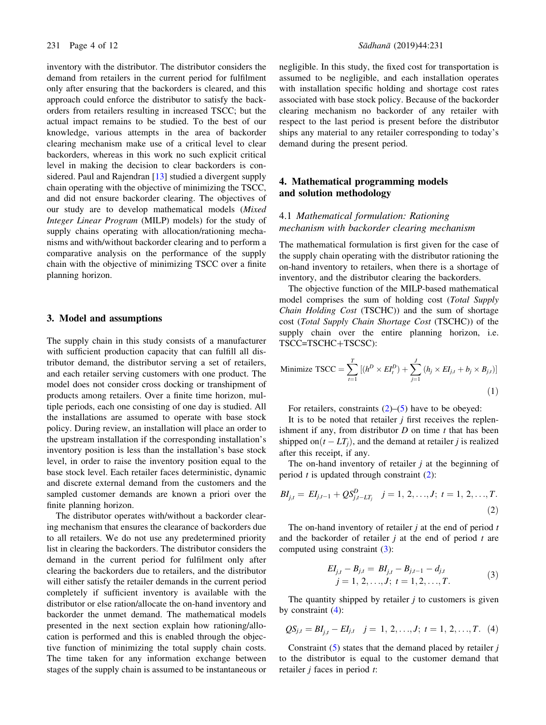inventory with the distributor. The distributor considers the demand from retailers in the current period for fulfilment only after ensuring that the backorders is cleared, and this approach could enforce the distributor to satisfy the backorders from retailers resulting in increased TSCC; but the actual impact remains to be studied. To the best of our knowledge, various attempts in the area of backorder clearing mechanism make use of a critical level to clear backorders, whereas in this work no such explicit critical level in making the decision to clear backorders is considered. Paul and Rajendran [13] studied a divergent supply chain operating with the objective of minimizing the TSCC, and did not ensure backorder clearing. The objectives of our study are to develop mathematical models (Mixed Integer Linear Program (MILP) models) for the study of supply chains operating with allocation/rationing mechanisms and with/without backorder clearing and to perform a comparative analysis on the performance of the supply chain with the objective of minimizing TSCC over a finite planning horizon.

## 3. Model and assumptions

The supply chain in this study consists of a manufacturer with sufficient production capacity that can fulfill all distributor demand, the distributor serving a set of retailers, and each retailer serving customers with one product. The model does not consider cross docking or transhipment of products among retailers. Over a finite time horizon, multiple periods, each one consisting of one day is studied. All the installations are assumed to operate with base stock policy. During review, an installation will place an order to the upstream installation if the corresponding installation's inventory position is less than the installation's base stock level, in order to raise the inventory position equal to the base stock level. Each retailer faces deterministic, dynamic and discrete external demand from the customers and the sampled customer demands are known a priori over the finite planning horizon.

The distributor operates with/without a backorder clearing mechanism that ensures the clearance of backorders due to all retailers. We do not use any predetermined priority list in clearing the backorders. The distributor considers the demand in the current period for fulfilment only after clearing the backorders due to retailers, and the distributor will either satisfy the retailer demands in the current period completely if sufficient inventory is available with the distributor or else ration/allocate the on-hand inventory and backorder the unmet demand. The mathematical models presented in the next section explain how rationing/allocation is performed and this is enabled through the objective function of minimizing the total supply chain costs. The time taken for any information exchange between stages of the supply chain is assumed to be instantaneous or

negligible. In this study, the fixed cost for transportation is assumed to be negligible, and each installation operates with installation specific holding and shortage cost rates associated with base stock policy. Because of the backorder clearing mechanism no backorder of any retailer with respect to the last period is present before the distributor ships any material to any retailer corresponding to today's demand during the present period.

## 4. Mathematical programming models and solution methodology

# 4.1 Mathematical formulation: Rationing mechanism with backorder clearing mechanism

The mathematical formulation is first given for the case of the supply chain operating with the distributor rationing the on-hand inventory to retailers, when there is a shortage of inventory, and the distributor clearing the backorders.

The objective function of the MILP-based mathematical model comprises the sum of holding cost (Total Supply Chain Holding Cost (TSCHC)) and the sum of shortage cost (Total Supply Chain Shortage Cost (TSCHC)) of the supply chain over the entire planning horizon, i.e. TSCC=TSCHC+TSCSC):

Minimize TSCC = 
$$
\sum_{t=1}^{T} [(h^D \times EI_t^D) + \sum_{j=1}^{J} (h_j \times EI_{j,t} + b_j \times B_{j,t})]
$$
(1)

For retailers, constraints  $(2)$ – $(5)$  have to be obeyed:

It is to be noted that retailer  $j$  first receives the replenishment if any, from distributor  $D$  on time  $t$  that has been shipped on $(t - LT<sub>i</sub>)$ , and the demand at retailer *j* is realized after this receipt, if any.

The on-hand inventory of retailer  $i$  at the beginning of period  $t$  is updated through constraint  $(2)$ :

$$
BI_{j,t} = EI_{j,t-1} + QS_{j,t-LT_j}^D \quad j = 1, 2, ..., J; \ t = 1, 2, ..., T.
$$
\n(2)

The on-hand inventory of retailer  $j$  at the end of period  $t$ and the backorder of retailer  $j$  at the end of period  $t$  are computed using constraint (3):

$$
EI_{j,t} - B_{j,t} = BI_{j,t} - B_{j,t-1} - d_{j,t}
$$
  
\n
$$
j = 1, 2, ..., J; t = 1, 2, ..., T.
$$
\n(3)

The quantity shipped by retailer  $j$  to customers is given by constraint (4):

$$
QS_{j,t} = BI_{j,t} - EI_{j,t} \quad j = 1, 2, ..., J; \ t = 1, 2, ..., T.
$$
 (4)

Constraint  $(5)$  states that the demand placed by retailer j to the distributor is equal to the customer demand that retailer  $j$  faces in period  $t$ :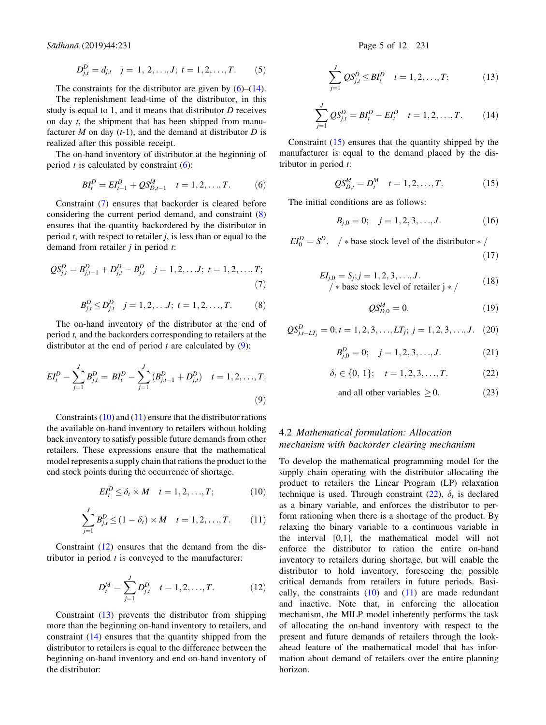Sädhanä (2019) 44:231 Page 5 of 12 231

$$
D_{j,t}^D = d_{j,t} \quad j = 1, 2, \ldots, J; \ t = 1, 2, \ldots, T. \tag{5}
$$

The constraints for the distributor are given by  $(6)$ – $(14)$ .

The replenishment lead-time of the distributor, in this study is equal to 1, and it means that distributor  $D$  receives on day t, the shipment that has been shipped from manufacturer  $M$  on day  $(t-1)$ , and the demand at distributor  $D$  is realized after this possible receipt.

The on-hand inventory of distributor at the beginning of period  $t$  is calculated by constraint  $(6)$ :

$$
BI_t^D = EI_{t-1}^D + QS_{D,t-1}^M \quad t = 1, 2, \dots, T. \tag{6}
$$

Constraint (7) ensures that backorder is cleared before considering the current period demand, and constraint (8) ensures that the quantity backordered by the distributor in period  $t$ , with respect to retailer  $j$ , is less than or equal to the demand from retailer  $j$  in period  $t$ :

$$
QS_{j,t}^D = B_{j,t-1}^D + D_{j,t}^D - B_{j,t}^D \quad j = 1, 2, \dots, J; \ t = 1, 2, \dots, T; \tag{7}
$$

$$
B_{j,t}^D \le D_{j,t}^D \quad j = 1, 2, \dots J; \ t = 1, 2, \dots, T. \tag{8}
$$

The on-hand inventory of the distributor at the end of period t, and the backorders corresponding to retailers at the distributor at the end of period  $t$  are calculated by  $(9)$ :

$$
EI_t^D - \sum_{j=1}^J B_{j,t}^D = BI_t^D - \sum_{j=1}^J (B_{j,t-1}^D + D_{j,t}^D) \quad t = 1, 2, ..., T.
$$
\n(9)

Constraints  $(10)$  and  $(11)$  ensure that the distributor rations the available on-hand inventory to retailers without holding back inventory to satisfy possible future demands from other retailers. These expressions ensure that the mathematical model represents a supply chain that rations the product to the end stock points during the occurrence of shortage.

$$
EI_t^D \leq \delta_t \times M \quad t = 1, 2, \dots, T; \tag{10}
$$

$$
\sum_{j=1}^{J} B_{j,t}^{D} \le (1 - \delta_{t}) \times M \quad t = 1, 2, ..., T.
$$
 (11)

Constraint (12) ensures that the demand from the distributor in period  $t$  is conveyed to the manufacturer:

$$
D_t^M = \sum_{j=1}^J D_{j,t}^D \quad t = 1, 2, ..., T. \tag{12}
$$

Constraint (13) prevents the distributor from shipping more than the beginning on-hand inventory to retailers, and constraint (14) ensures that the quantity shipped from the distributor to retailers is equal to the difference between the beginning on-hand inventory and end on-hand inventory of the distributor:

$$
\sum_{j=1}^{J}QS_{j,t}^{D} \le BI_{t}^{D} \quad t = 1, 2, ..., T; \tag{13}
$$

$$
\sum_{j=1}^{J}QS_{j,t}^{D} = BI_{t}^{D} - EI_{t}^{D} \quad t = 1, 2, ..., T.
$$
 (14)

Constraint (15) ensures that the quantity shipped by the manufacturer is equal to the demand placed by the distributor in period  $t$ :

$$
QS_{D,t}^M = D_t^M \t t = 1, 2, ..., T.
$$
 (15)

The initial conditions are as follows:

$$
B_{j,0} = 0; \quad j = 1, 2, 3, \dots, J. \tag{16}
$$

 $EI_0^D = S^D$ . / \* base stock level of the distributor \* /  $(17)$ 

$$
EI_{j,0} = S_j; j = 1, 2, 3, \dots, J.
$$
  
\n/\* base stock level of retailer  $j \times /$  (18)

$$
QS_{D,0}^M = 0.\t(19)
$$

$$
QS_{j,t-LT_j}^D = 0; t = 1, 2, 3, ..., LT_j; j = 1, 2, 3, ..., J.
$$
 (20)

$$
B_{j,0}^D = 0; \quad j = 1, 2, 3, \dots, J. \tag{21}
$$

$$
\delta_t \in \{0, 1\}; \quad t = 1, 2, 3, \dots, T. \tag{22}
$$

and all other variables  $\geq 0$ . (23)

## 4.2 Mathematical formulation: Allocation mechanism with backorder clearing mechanism

To develop the mathematical programming model for the supply chain operating with the distributor allocating the product to retailers the Linear Program (LP) relaxation technique is used. Through constraint (22),  $\delta_t$  is declared as a binary variable, and enforces the distributor to perform rationing when there is a shortage of the product. By relaxing the binary variable to a continuous variable in the interval [0,1], the mathematical model will not enforce the distributor to ration the entire on-hand inventory to retailers during shortage, but will enable the distributor to hold inventory, foreseeing the possible critical demands from retailers in future periods. Basically, the constraints  $(10)$  and  $(11)$  are made redundant and inactive. Note that, in enforcing the allocation mechanism, the MILP model inherently performs the task of allocating the on-hand inventory with respect to the present and future demands of retailers through the lookahead feature of the mathematical model that has information about demand of retailers over the entire planning horizon.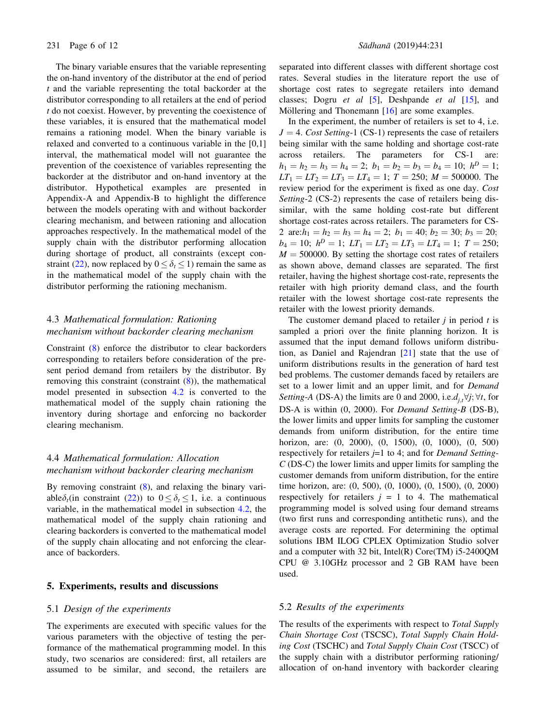The binary variable ensures that the variable representing the on-hand inventory of the distributor at the end of period  $t$  and the variable representing the total backorder at the distributor corresponding to all retailers at the end of period t do not coexist. However, by preventing the coexistence of these variables, it is ensured that the mathematical model remains a rationing model. When the binary variable is relaxed and converted to a continuous variable in the [0,1] interval, the mathematical model will not guarantee the prevention of the coexistence of variables representing the backorder at the distributor and on-hand inventory at the distributor. Hypothetical examples are presented in Appendix-A and Appendix-B to highlight the difference between the models operating with and without backorder clearing mechanism, and between rationing and allocation approaches respectively. In the mathematical model of the supply chain with the distributor performing allocation during shortage of product, all constraints (except constraint (22), now replaced by  $0 \le \delta_t \le 1$ ) remain the same as in the mathematical model of the supply chain with the distributor performing the rationing mechanism.

# 4.3 Mathematical formulation: Rationing mechanism without backorder clearing mechanism

Constraint (8) enforce the distributor to clear backorders corresponding to retailers before consideration of the present period demand from retailers by the distributor. By removing this constraint (constraint  $(8)$ ), the mathematical model presented in subsection 4.2 is converted to the mathematical model of the supply chain rationing the inventory during shortage and enforcing no backorder clearing mechanism.

## 4.4 Mathematical formulation: Allocation mechanism without backorder clearing mechanism

By removing constraint (8), and relaxing the binary variable $\delta_t$ (in constraint (22)) to  $0 \le \delta_t \le 1$ , i.e. a continuous variable, in the mathematical model in subsection 4.2, the mathematical model of the supply chain rationing and clearing backorders is converted to the mathematical model of the supply chain allocating and not enforcing the clearance of backorders.

## 5. Experiments, results and discussions

## 5.1 Design of the experiments

The experiments are executed with specific values for the various parameters with the objective of testing the performance of the mathematical programming model. In this study, two scenarios are considered: first, all retailers are assumed to be similar, and second, the retailers are

separated into different classes with different shortage cost rates. Several studies in the literature report the use of shortage cost rates to segregate retailers into demand classes; Dogru et al  $[5]$ , Deshpande et al  $[15]$ , and Möllering and Thonemann  $[16]$  are some examples.

In the experiment, the number of retailers is set to 4, i.e.  $J = 4$ . Cost Setting-1 (CS-1) represents the case of retailers being similar with the same holding and shortage cost-rate across retailers. The parameters for CS-1 are:  $h_1 = h_2 = h_3 = h_4 = 2$ ;  $b_1 = b_2 = b_3 = b_4 = 10$ ;  $h^D = 1$ ;  $LT_1 = LT_2 = LT_3 = LT_4 = 1$ ;  $T = 250$ ;  $M = 500000$ . The review period for the experiment is fixed as one day. Cost Setting-2 (CS-2) represents the case of retailers being dissimilar, with the same holding cost-rate but different shortage cost-rates across retailers. The parameters for CS-2 are: $h_1 = h_2 = h_3 = h_4 = 2$ ;  $b_1 = 40$ ;  $b_2 = 30$ ;  $b_3 = 20$ ;  $b_4 = 10; h^D = 1; LT_1 = LT_2 = LT_3 = LT_4 = 1; T = 250;$  $M = 500000$ . By setting the shortage cost rates of retailers as shown above, demand classes are separated. The first retailer, having the highest shortage cost-rate, represents the retailer with high priority demand class, and the fourth retailer with the lowest shortage cost-rate represents the retailer with the lowest priority demands.

The customer demand placed to retailer  $j$  in period  $t$  is sampled a priori over the finite planning horizon. It is assumed that the input demand follows uniform distribution, as Daniel and Rajendran [21] state that the use of uniform distributions results in the generation of hard test bed problems. The customer demands faced by retailers are set to a lower limit and an upper limit, and for *Demand Setting-A* (DS-A) the limits are 0 and 2000, i.e. $d_{j,t} \forall j; \forall t$ , for DS-A is within (0, 2000). For *Demand Setting-B* (DS-B), the lower limits and upper limits for sampling the customer demands from uniform distribution, for the entire time horizon, are: (0, 2000), (0, 1500), (0, 1000), (0, 500) respectively for retailers  $j=1$  to 4; and for *Demand Setting*-C (DS-C) the lower limits and upper limits for sampling the customer demands from uniform distribution, for the entire time horizon, are: (0, 500), (0, 1000), (0, 1500), (0, 2000) respectively for retailers  $j = 1$  to 4. The mathematical programming model is solved using four demand streams (two first runs and corresponding antithetic runs), and the average costs are reported. For determining the optimal solutions IBM ILOG CPLEX Optimization Studio solver and a computer with 32 bit, Intel(R) Core(TM) i5-2400QM CPU @ 3.10GHz processor and 2 GB RAM have been used.

### 5.2 Results of the experiments

The results of the experiments with respect to Total Supply Chain Shortage Cost (TSCSC), Total Supply Chain Holding Cost (TSCHC) and Total Supply Chain Cost (TSCC) of the supply chain with a distributor performing rationing/ allocation of on-hand inventory with backorder clearing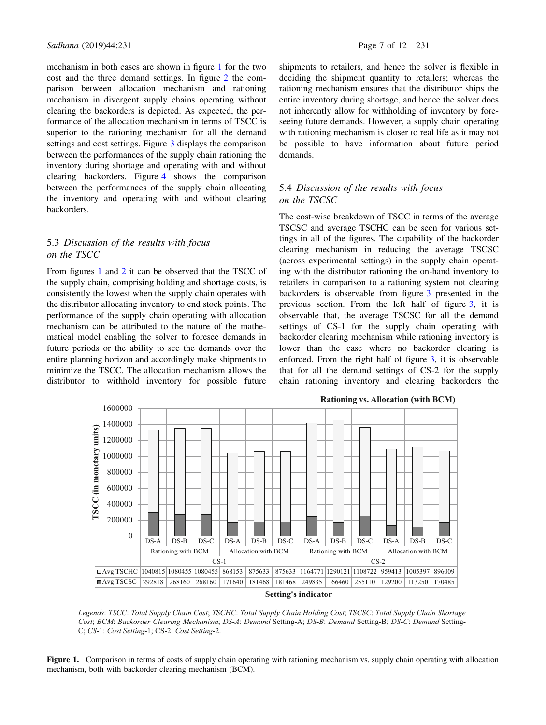mechanism in both cases are shown in figure 1 for the two cost and the three demand settings. In figure 2 the comparison between allocation mechanism and rationing mechanism in divergent supply chains operating without clearing the backorders is depicted. As expected, the performance of the allocation mechanism in terms of TSCC is superior to the rationing mechanism for all the demand settings and cost settings. Figure 3 displays the comparison between the performances of the supply chain rationing the inventory during shortage and operating with and without clearing backorders. Figure 4 shows the comparison between the performances of the supply chain allocating the inventory and operating with and without clearing backorders.

## 5.3 Discussion of the results with focus on the TSCC

From figures 1 and 2 it can be observed that the TSCC of the supply chain, comprising holding and shortage costs, is consistently the lowest when the supply chain operates with the distributor allocating inventory to end stock points. The performance of the supply chain operating with allocation mechanism can be attributed to the nature of the mathematical model enabling the solver to foresee demands in future periods or the ability to see the demands over the entire planning horizon and accordingly make shipments to minimize the TSCC. The allocation mechanism allows the distributor to withhold inventory for possible future

shipments to retailers, and hence the solver is flexible in deciding the shipment quantity to retailers; whereas the rationing mechanism ensures that the distributor ships the entire inventory during shortage, and hence the solver does not inherently allow for withholding of inventory by foreseeing future demands. However, a supply chain operating with rationing mechanism is closer to real life as it may not be possible to have information about future period demands.

## 5.4 Discussion of the results with focus on the TSCSC

The cost-wise breakdown of TSCC in terms of the average TSCSC and average TSCHC can be seen for various settings in all of the figures. The capability of the backorder clearing mechanism in reducing the average TSCSC (across experimental settings) in the supply chain operating with the distributor rationing the on-hand inventory to retailers in comparison to a rationing system not clearing backorders is observable from figure 3 presented in the previous section. From the left half of figure 3, it is observable that, the average TSCSC for all the demand settings of CS-1 for the supply chain operating with backorder clearing mechanism while rationing inventory is lower than the case where no backorder clearing is enforced. From the right half of figure 3, it is observable that for all the demand settings of CS-2 for the supply chain rationing inventory and clearing backorders the



*Legends*: *TSCC*: *Total Supply Chain Cost*; *TSCHC*: *Total Supply Chain Holding Cost*; *TSCSC*: *Total Supply Chain Shortage Cost*; *BCM*: *Backorder Clearing Mechanism*; *DS*-*A*: *Demand* Setting-A; *DS*-*B*: *Demand* Setting-B; *DS*-*C*: *Demand* Setting-C; *CS*-1: *Cost Setting-*1; CS-2: *Cost Setting-*2.

Figure 1. Comparison in terms of costs of supply chain operating with rationing mechanism vs. supply chain operating with allocation mechanism, both with backorder clearing mechanism (BCM).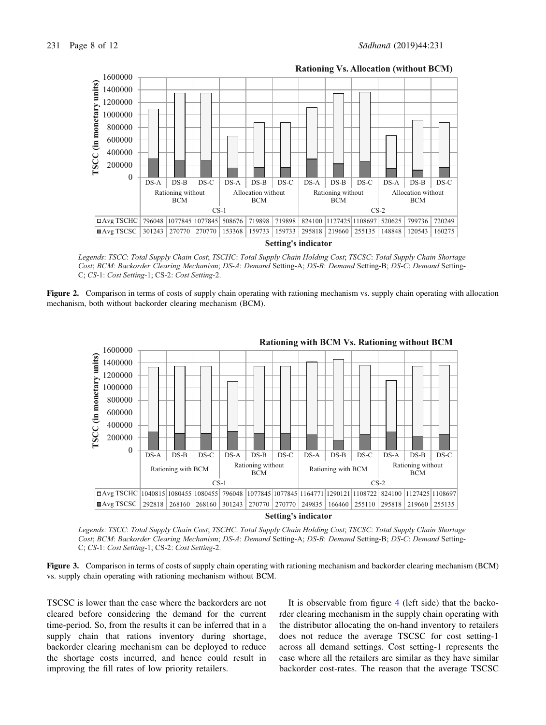

**Rationing Vs. Allocation (without BCM)**

*Legends*: *TSCC*: *Total Supply Chain Cost*; *TSCHC*: *Total Supply Chain Holding Cost*; *TSCSC*: *Total Supply Chain Shortage Cost*; *BCM*: *Backorder Clearing Mechanism*; *DS*-*A*: *Demand* Setting-A; *DS*-*B*: *Demand* Setting-B; *DS*-*C*: *Demand* Setting-C; *CS*-1: *Cost Setting-*1; CS-2: *Cost Setting-*2.

Figure 2. Comparison in terms of costs of supply chain operating with rationing mechanism vs. supply chain operating with allocation mechanism, both without backorder clearing mechanism (BCM).



*Legends*: *TSCC*: *Total Supply Chain Cost*; *TSCHC*: *Total Supply Chain Holding Cost*; *TSCSC*: *Total Supply Chain Shortage Cost*; *BCM*: *Backorder Clearing Mechanism*; *DS*-*A*: *Demand* Setting-A; *DS*-*B*: *Demand* Setting-B; *DS*-*C*: *Demand* Setting-C; *CS*-1: *Cost Setting-*1; CS-2: *Cost Setting-*2.

Figure 3. Comparison in terms of costs of supply chain operating with rationing mechanism and backorder clearing mechanism (BCM) vs. supply chain operating with rationing mechanism without BCM.

TSCSC is lower than the case where the backorders are not cleared before considering the demand for the current time-period. So, from the results it can be inferred that in a supply chain that rations inventory during shortage, backorder clearing mechanism can be deployed to reduce the shortage costs incurred, and hence could result in improving the fill rates of low priority retailers.

It is observable from figure 4 (left side) that the backorder clearing mechanism in the supply chain operating with the distributor allocating the on-hand inventory to retailers does not reduce the average TSCSC for cost setting-1 across all demand settings. Cost setting-1 represents the case where all the retailers are similar as they have similar backorder cost-rates. The reason that the average TSCSC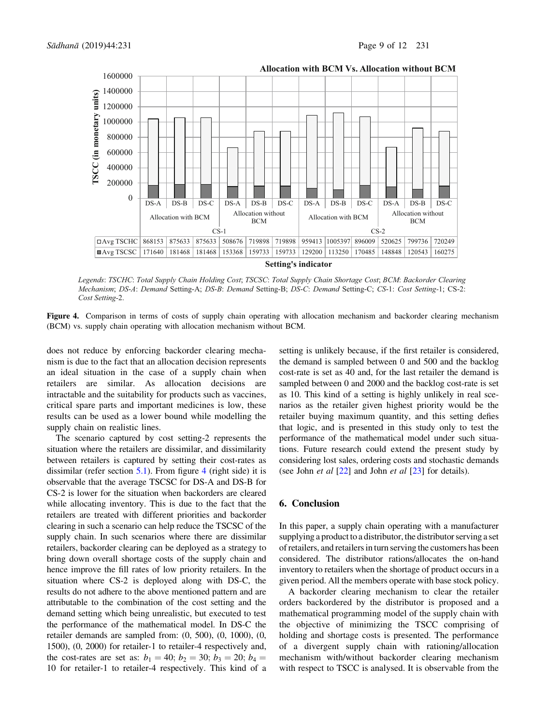

**Allocation with BCM Vs. Allocation without BCM**

*Legends*: *TSCHC*: *Total Supply Chain Holding Cost*; *TSCSC*: *Total Supply Chain Shortage Cost*; *BCM*: *Backorder Clearing Mechanism*; *DS*-*A*: *Demand* Setting-A; *DS*-*B*: *Demand* Setting-B; *DS*-*C*: *Demand* Setting-C; *CS*-1: *Cost Setting-*1; CS-2: *Cost Setting-*2.

Figure 4. Comparison in terms of costs of supply chain operating with allocation mechanism and backorder clearing mechanism (BCM) vs. supply chain operating with allocation mechanism without BCM.

does not reduce by enforcing backorder clearing mechanism is due to the fact that an allocation decision represents an ideal situation in the case of a supply chain when retailers are similar. As allocation decisions are intractable and the suitability for products such as vaccines, critical spare parts and important medicines is low, these results can be used as a lower bound while modelling the supply chain on realistic lines.

The scenario captured by cost setting-2 represents the situation where the retailers are dissimilar, and dissimilarity between retailers is captured by setting their cost-rates as dissimilar (refer section  $5.1$ ). From figure 4 (right side) it is observable that the average TSCSC for DS-A and DS-B for CS-2 is lower for the situation when backorders are cleared while allocating inventory. This is due to the fact that the retailers are treated with different priorities and backorder clearing in such a scenario can help reduce the TSCSC of the supply chain. In such scenarios where there are dissimilar retailers, backorder clearing can be deployed as a strategy to bring down overall shortage costs of the supply chain and hence improve the fill rates of low priority retailers. In the situation where CS-2 is deployed along with DS-C, the results do not adhere to the above mentioned pattern and are attributable to the combination of the cost setting and the demand setting which being unrealistic, but executed to test the performance of the mathematical model. In DS-C the retailer demands are sampled from: (0, 500), (0, 1000), (0, 1500), (0, 2000) for retailer-1 to retailer-4 respectively and, the cost-rates are set as:  $b_1 = 40$ ;  $b_2 = 30$ ;  $b_3 = 20$ ;  $b_4 =$ 10 for retailer-1 to retailer-4 respectively. This kind of a

setting is unlikely because, if the first retailer is considered, the demand is sampled between 0 and 500 and the backlog cost-rate is set as 40 and, for the last retailer the demand is sampled between 0 and 2000 and the backlog cost-rate is set as 10. This kind of a setting is highly unlikely in real scenarios as the retailer given highest priority would be the retailer buying maximum quantity, and this setting defies that logic, and is presented in this study only to test the performance of the mathematical model under such situations. Future research could extend the present study by considering lost sales, ordering costs and stochastic demands (see John *et al*  $[22]$  and John *et al*  $[23]$  for details).

## 6. Conclusion

In this paper, a supply chain operating with a manufacturer supplying a product to a distributor, the distributor serving a set of retailers, and retailers in turn serving the customers has been considered. The distributor rations/allocates the on-hand inventory to retailers when the shortage of product occurs in a given period. All the members operate with base stock policy.

A backorder clearing mechanism to clear the retailer orders backordered by the distributor is proposed and a mathematical programming model of the supply chain with the objective of minimizing the TSCC comprising of holding and shortage costs is presented. The performance of a divergent supply chain with rationing/allocation mechanism with/without backorder clearing mechanism with respect to TSCC is analysed. It is observable from the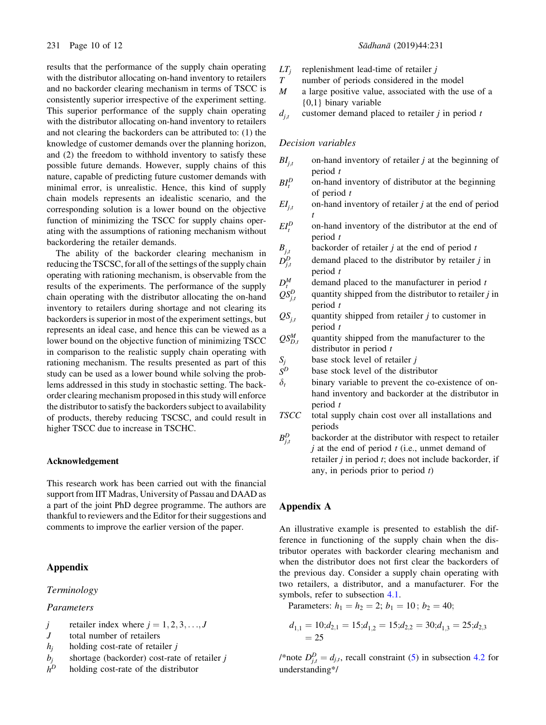results that the performance of the supply chain operating with the distributor allocating on-hand inventory to retailers and no backorder clearing mechanism in terms of TSCC is consistently superior irrespective of the experiment setting. This superior performance of the supply chain operating with the distributor allocating on-hand inventory to retailers and not clearing the backorders can be attributed to: (1) the knowledge of customer demands over the planning horizon, and (2) the freedom to withhold inventory to satisfy these possible future demands. However, supply chains of this nature, capable of predicting future customer demands with minimal error, is unrealistic. Hence, this kind of supply chain models represents an idealistic scenario, and the corresponding solution is a lower bound on the objective function of minimizing the TSCC for supply chains operating with the assumptions of rationing mechanism without backordering the retailer demands.

The ability of the backorder clearing mechanism in reducing the TSCSC, for all of the settings of the supply chain operating with rationing mechanism, is observable from the results of the experiments. The performance of the supply chain operating with the distributor allocating the on-hand inventory to retailers during shortage and not clearing its backorders is superior in most of the experiment settings, but represents an ideal case, and hence this can be viewed as a lower bound on the objective function of minimizing TSCC in comparison to the realistic supply chain operating with rationing mechanism. The results presented as part of this study can be used as a lower bound while solving the problems addressed in this study in stochastic setting. The backorder clearing mechanism proposed in this study will enforce the distributor to satisfy the backorders subject to availability of products, thereby reducing TSCSC, and could result in higher TSCC due to increase in TSCHC.

#### Acknowledgement

This research work has been carried out with the financial support from IIT Madras, University of Passau and DAAD as a part of the joint PhD degree programme. The authors are thankful to reviewers and the Editor for their suggestions and comments to improve the earlier version of the paper.

## Appendix

## Terminology

## Parameters

- j retailer index where  $j = 1, 2, 3, \ldots, J$
- J total number of retailers
- $h_i$  holding cost-rate of retailer j
- $b_i$  shortage (backorder) cost-rate of retailer j
- $h<sup>D</sup>$  holding cost-rate of the distributor
- $LT_j$  replenishment lead-time of retailer j<br>T number of periods considered in the
- number of periods considered in the model
- $M$  a large positive value, associated with the use of a {0,1} binary variable
- $d_{i,t}$  customer demand placed to retailer j in period t

## Decision variables

- $BI_{i,t}$  on-hand inventory of retailer *j* at the beginning of period  $t$
- $BI^D_t$ on-hand inventory of distributor at the beginning of period t
- $EI_{it}$  on-hand inventory of retailer *j* at the end of period t
- $EI^D_i$ on-hand inventory of the distributor at the end of period t
	- backorder of retailer  $j$  at the end of period  $t$
- $B_{j,t}$ <br> $D_{j,t}^D$ demand placed to the distributor by retailer  $j$  in period t
- $D_t^M$ demand placed to the manufacturer in period  $t$
- $QS_i^D$ quantity shipped from the distributor to retailer  $j$  in period t
- $QS_{j,t}$  quantity shipped from retailer j to customer in period t
- $QS_{D,t}^M$ quantity shipped from the manufacturer to the distributor in period  $t$
- $S_j$  base stock level of retailer j<br>  $S^D$  base stock level of the distri
- base stock level of the distributor
- $\delta_t$  binary variable to prevent the co-existence of onhand inventory and backorder at the distributor in period t
- TSCC total supply chain cost over all installations and periods
- $B_{i,t}^D$ backorder at the distributor with respect to retailer  $j$  at the end of period  $t$  (i.e., unmet demand of retailer  $j$  in period  $t$ ; does not include backorder, if any, in periods prior to period t)

## Appendix A

An illustrative example is presented to establish the difference in functioning of the supply chain when the distributor operates with backorder clearing mechanism and when the distributor does not first clear the backorders of the previous day. Consider a supply chain operating with two retailers, a distributor, and a manufacturer. For the symbols, refer to subsection 4.1.

Parameters:  $h_1 = h_2 = 2$ ;  $b_1 = 10$ ;  $b_2 = 40$ ;

$$
d_{1,1} = 10; d_{2,1} = 15; d_{1,2} = 15; d_{2,2} = 30; d_{1,3} = 25; d_{2,3} = 25
$$

/\*note  $D_{j,t}^D = d_{j,t}$ , recall constraint (5) in subsection 4.2 for understanding\*/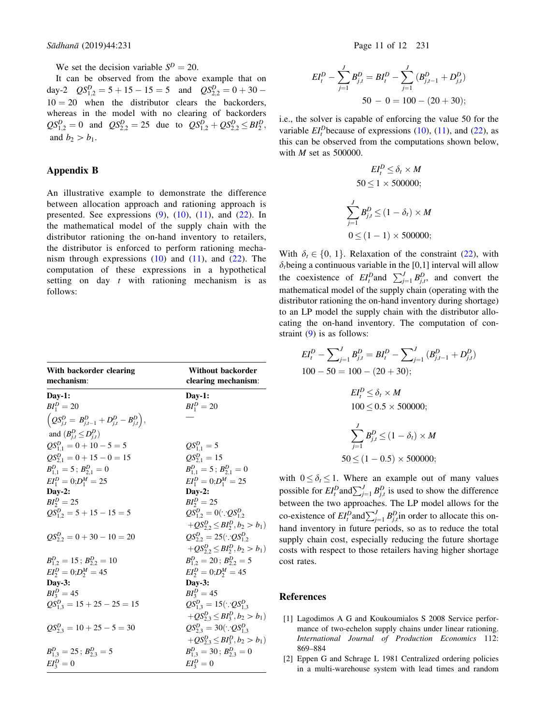We set the decision variable  $S<sup>D</sup> = 20$ .

It can be observed from the above example that on day-2  $QS_{1,2}^D = 5 + 15 - 15 = 5$  and  $QS_{2,2}^D = 0 + 30 - 15 = 5$  $10 = 20$  when the distributor clears the backorders, whereas in the model with no clearing of backorders  $QS_{1,2}^D = 0$  and  $QS_{2,2}^D = 25$  due to  $QS_{1,2}^D + QS_{2,2}^D \leq BI_2^D$ , and  $b_2 > b_1$ .

## Appendix B

An illustrative example to demonstrate the difference between allocation approach and rationing approach is presented. See expressions  $(9)$ ,  $(10)$ ,  $(11)$ , and  $(22)$ . In the mathematical model of the supply chain with the distributor rationing the on-hand inventory to retailers, the distributor is enforced to perform rationing mechanism through expressions  $(10)$  and  $(11)$ , and  $(22)$ . The computation of these expressions in a hypothetical setting on day  $t$  with rationing mechanism is as follows:

| With backorder clearing                                          | <b>Without backorder</b>             |
|------------------------------------------------------------------|--------------------------------------|
| mechanism:                                                       | clearing mechanism:                  |
| $Day-1$ :                                                        | $Day-1:$                             |
| $BI_1^D = 20$                                                    | $BI_1^D = 20$                        |
| $\left(QS_{j,t}^D = B_{j,t-1}^D + D_{j,t}^D - B_{j,t}^D\right),$ |                                      |
| and $(B_{i}^D \leq D_{i}^D)$                                     |                                      |
| $QS_{1,1}^D = 0 + 10 - 5 = 5$                                    | $QS_{11}^p = 5$                      |
| $QS_{2.1}^D = 0 + 15 - 0 = 15$                                   | $QS_{2.1}^D = 15$                    |
| $B_{11}^D = 5$ ; $B_{21}^D = 0$                                  | $B_{11}^D = 5$ ; $B_{21}^D = 0$      |
| $EI_1^D = 0; D_1^M = 25$                                         | $EI_1^D = 0; D_1^M = 25$             |
| $Day-2$ :                                                        | $Day-2$ :                            |
| $BI_2^D = 25$                                                    | $BI_2^D = 25$                        |
| $QS_{12}^D = 5 + 15 - 15 = 5$                                    | $QS_{12}^D = 0$ ( $QS_{12}^D$        |
|                                                                  | $+QS_{2,2}^D \leq BI_2^D, b_2 > b_1$ |
| $QS_2^D$ , $= 0 + 30 - 10 = 20$                                  | $QS_{22}^D = 25(\because QS_{12}^D$  |
|                                                                  | $+QS_{2,2}^D \leq BI_2^D, b_2 > b_1$ |
| $B_{12}^D = 15$ ; $B_{22}^D = 10$                                | $B_1^D$ , $= 20$ ; $B_2^D$ , $= 5$   |
| $EI_2^D = 0; D_2^M = 45$                                         | $EI_2^D = 0; D_2^M = 45$             |
| $Day-3:$                                                         | $Day-3$ :                            |
| $BI_3^D = 45$                                                    | $BI_3^D = 45$                        |
| $QS_{1,3}^D = 15 + 25 - 25 = 15$                                 | $QS_{13}^D = 15(\because QS_{13}^D$  |
|                                                                  | $+QS_{23}^D \leq BI_3^D, b_2 > b_1$  |
| $QS_{23}^p = 10 + 25 - 5 = 30$                                   | $QS_{23}^D = 30(\because QS_{13}^D$  |
|                                                                  | $+QS_{2,3}^D \leq BI_3^D, b_2 > b_1$ |
| $B_{1,3}^D = 25$ ; $B_{2,3}^D = 5$                               | $B_{1,3}^D = 30$ ; $B_{2,3}^D = 0$   |
| $EI_3^D=0$                                                       | $EI^D_3 = 0$                         |

$$
EI_t^D - \sum_{j=1}^J B_{j,t}^D = BI_t^D - \sum_{j=1}^J (B_{j,t-1}^D + D_{j,t}^D)
$$
  
50 - 0 = 100 - (20 + 30);

i.e., the solver is capable of enforcing the value 50 for the variable  $EI_t^D$ because of expressions (10), (11), and (22), as this can be observed from the computations shown below, with  $M$  set as 500000.

$$
EI_t^D \le \delta_t \times M
$$
  
\n
$$
50 \le 1 \times 500000;
$$
  
\n
$$
\sum_{j=1}^J B_{j,t}^D \le (1 - \delta_t) \times M
$$
  
\n
$$
0 \le (1 - 1) \times 500000;
$$

With  $\delta_t \in \{0, 1\}$ . Relaxation of the constraint (22), with  $\delta_t$ being a continuous variable in the [0,1] interval will allow the coexistence of  $EI_t^D$  and  $\sum_{j=1}^J B_{j,t}^D$ , and convert the mathematical model of the supply chain (operating with the distributor rationing the on-hand inventory during shortage) to an LP model the supply chain with the distributor allocating the on-hand inventory. The computation of constraint (9) is as follows:

$$
EI_t^D - \sum_{j=1}^J B_{j,t}^D = BI_t^D - \sum_{j=1}^J (B_{j,t-1}^D + D_{j,t}^D)
$$
  
100 - 50 = 100 - (20 + 30);  

$$
EI_t^D \le \delta_t \times M
$$
  
100 \le 0.5 \times 500000;  

$$
\sum_{j=1}^J B_{j,t}^D \le (1 - \delta_t) \times M
$$

 $50 \le (1 - 0.5) \times 500000;$ with  $0 \le \delta_t \le 1$ . Where an example out of many values

possible for  $EI_i^D$  and  $\sum_{j=1}^J B_{j,t}^D$  is used to show the difference between the two approaches. The LP model allows for the co-existence of  $EI_t^D$  and  $\sum_{j=1}^J B_{j,t}^D$  in order to allocate this onhand inventory in future periods, so as to reduce the total supply chain cost, especially reducing the future shortage costs with respect to those retailers having higher shortage cost rates.

#### References

- [1] Lagodimos A G and Koukoumialos S 2008 Service performance of two-echelon supply chains under linear rationing. International Journal of Production Economics 112: 869–884
- [2] Eppen G and Schrage L 1981 Centralized ordering policies in a multi-warehouse system with lead times and random